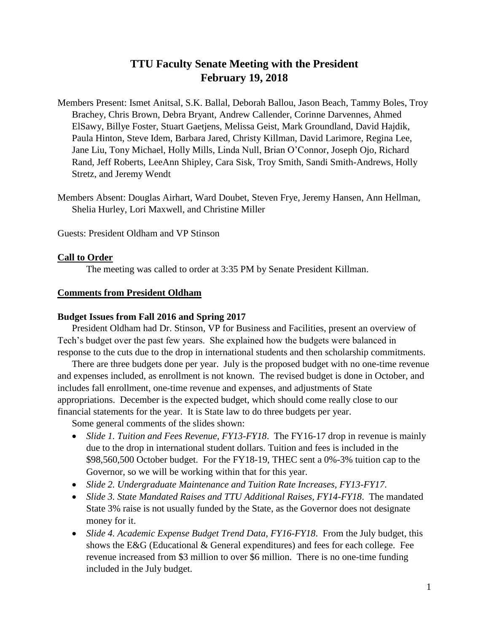# **TTU Faculty Senate Meeting with the President February 19, 2018**

Members Present: Ismet Anitsal, S.K. Ballal, Deborah Ballou, Jason Beach, Tammy Boles, Troy Brachey, Chris Brown, Debra Bryant, Andrew Callender, Corinne Darvennes, Ahmed ElSawy, Billye Foster, Stuart Gaetjens, Melissa Geist, Mark Groundland, David Hajdik, Paula Hinton, Steve Idem, Barbara Jared, Christy Killman, David Larimore, Regina Lee, Jane Liu, Tony Michael, Holly Mills, Linda Null, Brian O'Connor, Joseph Ojo, Richard Rand, Jeff Roberts, LeeAnn Shipley, Cara Sisk, Troy Smith, Sandi Smith-Andrews, Holly Stretz, and Jeremy Wendt

Members Absent: Douglas Airhart, Ward Doubet, Steven Frye, Jeremy Hansen, Ann Hellman, Shelia Hurley, Lori Maxwell, and Christine Miller

Guests: President Oldham and VP Stinson

## **Call to Order**

The meeting was called to order at 3:35 PM by Senate President Killman.

#### **Comments from President Oldham**

#### **Budget Issues from Fall 2016 and Spring 2017**

President Oldham had Dr. Stinson, VP for Business and Facilities, present an overview of Tech's budget over the past few years. She explained how the budgets were balanced in response to the cuts due to the drop in international students and then scholarship commitments.

There are three budgets done per year. July is the proposed budget with no one-time revenue and expenses included, as enrollment is not known. The revised budget is done in October, and includes fall enrollment, one-time revenue and expenses, and adjustments of State appropriations. December is the expected budget, which should come really close to our financial statements for the year. It is State law to do three budgets per year.

Some general comments of the slides shown:

- *Slide 1. Tuition and Fees Revenue, FY13-FY18*. The FY16-17 drop in revenue is mainly due to the drop in international student dollars. Tuition and fees is included in the \$98,560,500 October budget. For the FY18-19, THEC sent a 0%-3% tuition cap to the Governor, so we will be working within that for this year.
- *Slide 2. Undergraduate Maintenance and Tuition Rate Increases, FY13-FY17*.
- *Slide 3. State Mandated Raises and TTU Additional Raises, FY14-FY18*. The mandated State 3% raise is not usually funded by the State, as the Governor does not designate money for it.
- *Slide 4. Academic Expense Budget Trend Data, FY16-FY18*. From the July budget, this shows the E&G (Educational & General expenditures) and fees for each college. Fee revenue increased from \$3 million to over \$6 million. There is no one-time funding included in the July budget.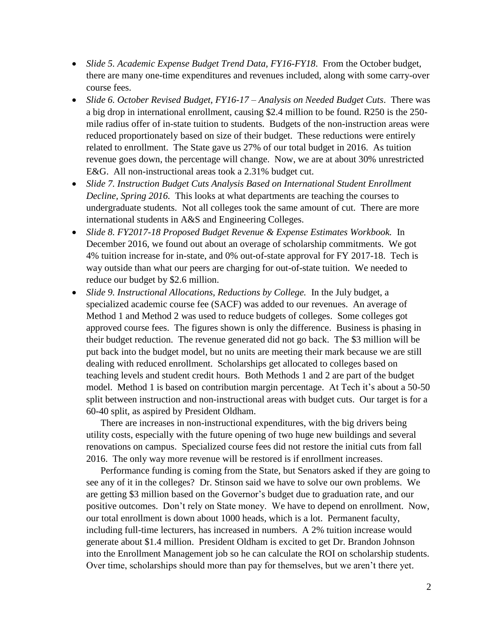- *Slide 5. Academic Expense Budget Trend Data, FY16-FY18*. From the October budget, there are many one-time expenditures and revenues included, along with some carry-over course fees.
- *Slide 6. October Revised Budget, FY16-17 – Analysis on Needed Budget Cuts*. There was a big drop in international enrollment, causing \$2.4 million to be found. R250 is the 250 mile radius offer of in-state tuition to students. Budgets of the non-instruction areas were reduced proportionately based on size of their budget. These reductions were entirely related to enrollment. The State gave us 27% of our total budget in 2016. As tuition revenue goes down, the percentage will change. Now, we are at about 30% unrestricted E&G. All non-instructional areas took a 2.31% budget cut.
- *Slide 7. Instruction Budget Cuts Analysis Based on International Student Enrollment Decline, Spring 2016.* This looks at what departments are teaching the courses to undergraduate students. Not all colleges took the same amount of cut. There are more international students in A&S and Engineering Colleges.
- *Slide 8. FY2017-18 Proposed Budget Revenue & Expense Estimates Workbook.* In December 2016, we found out about an overage of scholarship commitments. We got 4% tuition increase for in-state, and 0% out-of-state approval for FY 2017-18. Tech is way outside than what our peers are charging for out-of-state tuition. We needed to reduce our budget by \$2.6 million.
- *Slide 9. Instructional Allocations, Reductions by College.* In the July budget, a specialized academic course fee (SACF) was added to our revenues. An average of Method 1 and Method 2 was used to reduce budgets of colleges. Some colleges got approved course fees. The figures shown is only the difference. Business is phasing in their budget reduction. The revenue generated did not go back. The \$3 million will be put back into the budget model, but no units are meeting their mark because we are still dealing with reduced enrollment. Scholarships get allocated to colleges based on teaching levels and student credit hours. Both Methods 1 and 2 are part of the budget model. Method 1 is based on contribution margin percentage. At Tech it's about a 50-50 split between instruction and non-instructional areas with budget cuts. Our target is for a 60-40 split, as aspired by President Oldham.

There are increases in non-instructional expenditures, with the big drivers being utility costs, especially with the future opening of two huge new buildings and several renovations on campus. Specialized course fees did not restore the initial cuts from fall 2016. The only way more revenue will be restored is if enrollment increases.

Performance funding is coming from the State, but Senators asked if they are going to see any of it in the colleges? Dr. Stinson said we have to solve our own problems. We are getting \$3 million based on the Governor's budget due to graduation rate, and our positive outcomes. Don't rely on State money. We have to depend on enrollment. Now, our total enrollment is down about 1000 heads, which is a lot. Permanent faculty, including full-time lecturers, has increased in numbers. A 2% tuition increase would generate about \$1.4 million. President Oldham is excited to get Dr. Brandon Johnson into the Enrollment Management job so he can calculate the ROI on scholarship students. Over time, scholarships should more than pay for themselves, but we aren't there yet.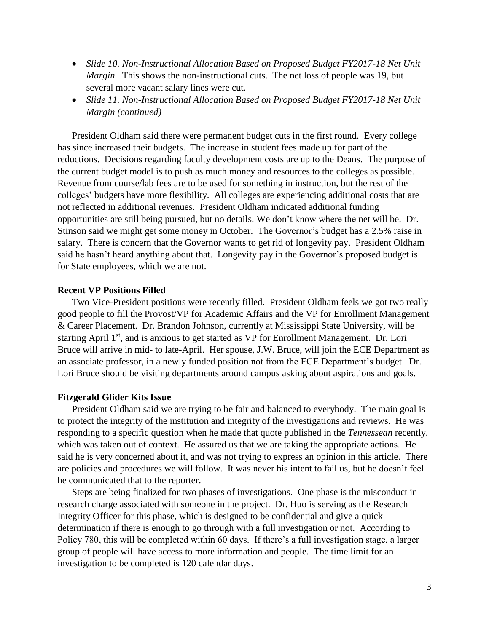- Slide 10. Non-Instructional Allocation Based on Proposed Budget FY2017-18 Net Unit *Margin.* This shows the non-instructional cuts. The net loss of people was 19, but several more vacant salary lines were cut.
- *Slide 11. Non-Instructional Allocation Based on Proposed Budget FY2017-18 Net Unit Margin (continued)*

President Oldham said there were permanent budget cuts in the first round. Every college has since increased their budgets. The increase in student fees made up for part of the reductions. Decisions regarding faculty development costs are up to the Deans. The purpose of the current budget model is to push as much money and resources to the colleges as possible. Revenue from course/lab fees are to be used for something in instruction, but the rest of the colleges' budgets have more flexibility. All colleges are experiencing additional costs that are not reflected in additional revenues. President Oldham indicated additional funding opportunities are still being pursued, but no details. We don't know where the net will be. Dr. Stinson said we might get some money in October. The Governor's budget has a 2.5% raise in salary. There is concern that the Governor wants to get rid of longevity pay. President Oldham said he hasn't heard anything about that. Longevity pay in the Governor's proposed budget is for State employees, which we are not.

#### **Recent VP Positions Filled**

Two Vice-President positions were recently filled. President Oldham feels we got two really good people to fill the Provost/VP for Academic Affairs and the VP for Enrollment Management & Career Placement. Dr. Brandon Johnson, currently at Mississippi State University, will be starting April 1<sup>st</sup>, and is anxious to get started as VP for Enrollment Management. Dr. Lori Bruce will arrive in mid- to late-April. Her spouse, J.W. Bruce, will join the ECE Department as an associate professor, in a newly funded position not from the ECE Department's budget. Dr. Lori Bruce should be visiting departments around campus asking about aspirations and goals.

### **Fitzgerald Glider Kits Issue**

President Oldham said we are trying to be fair and balanced to everybody. The main goal is to protect the integrity of the institution and integrity of the investigations and reviews. He was responding to a specific question when he made that quote published in the *Tennessean* recently, which was taken out of context. He assured us that we are taking the appropriate actions. He said he is very concerned about it, and was not trying to express an opinion in this article. There are policies and procedures we will follow. It was never his intent to fail us, but he doesn't feel he communicated that to the reporter.

Steps are being finalized for two phases of investigations. One phase is the misconduct in research charge associated with someone in the project. Dr. Huo is serving as the Research Integrity Officer for this phase, which is designed to be confidential and give a quick determination if there is enough to go through with a full investigation or not. According to Policy 780, this will be completed within 60 days. If there's a full investigation stage, a larger group of people will have access to more information and people. The time limit for an investigation to be completed is 120 calendar days.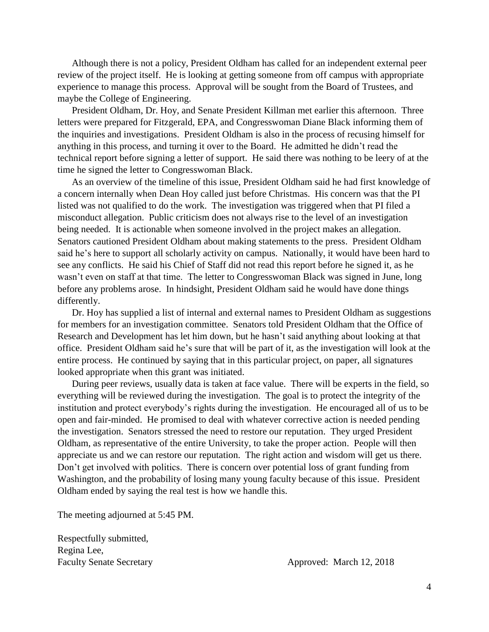Although there is not a policy, President Oldham has called for an independent external peer review of the project itself. He is looking at getting someone from off campus with appropriate experience to manage this process. Approval will be sought from the Board of Trustees, and maybe the College of Engineering.

President Oldham, Dr. Hoy, and Senate President Killman met earlier this afternoon. Three letters were prepared for Fitzgerald, EPA, and Congresswoman Diane Black informing them of the inquiries and investigations. President Oldham is also in the process of recusing himself for anything in this process, and turning it over to the Board. He admitted he didn't read the technical report before signing a letter of support. He said there was nothing to be leery of at the time he signed the letter to Congresswoman Black.

As an overview of the timeline of this issue, President Oldham said he had first knowledge of a concern internally when Dean Hoy called just before Christmas. His concern was that the PI listed was not qualified to do the work. The investigation was triggered when that PI filed a misconduct allegation. Public criticism does not always rise to the level of an investigation being needed. It is actionable when someone involved in the project makes an allegation. Senators cautioned President Oldham about making statements to the press. President Oldham said he's here to support all scholarly activity on campus. Nationally, it would have been hard to see any conflicts. He said his Chief of Staff did not read this report before he signed it, as he wasn't even on staff at that time. The letter to Congresswoman Black was signed in June, long before any problems arose. In hindsight, President Oldham said he would have done things differently.

Dr. Hoy has supplied a list of internal and external names to President Oldham as suggestions for members for an investigation committee. Senators told President Oldham that the Office of Research and Development has let him down, but he hasn't said anything about looking at that office. President Oldham said he's sure that will be part of it, as the investigation will look at the entire process. He continued by saying that in this particular project, on paper, all signatures looked appropriate when this grant was initiated.

During peer reviews, usually data is taken at face value. There will be experts in the field, so everything will be reviewed during the investigation. The goal is to protect the integrity of the institution and protect everybody's rights during the investigation. He encouraged all of us to be open and fair-minded. He promised to deal with whatever corrective action is needed pending the investigation. Senators stressed the need to restore our reputation. They urged President Oldham, as representative of the entire University, to take the proper action. People will then appreciate us and we can restore our reputation. The right action and wisdom will get us there. Don't get involved with politics. There is concern over potential loss of grant funding from Washington, and the probability of losing many young faculty because of this issue. President Oldham ended by saying the real test is how we handle this.

The meeting adjourned at 5:45 PM.

Respectfully submitted, Regina Lee, Faculty Senate Secretary Approved: March 12, 2018